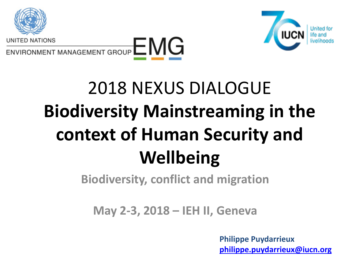





# 2018 NEXUS DIALOGUE **Biodiversity Mainstreaming in the context of Human Security and Wellbeing**

**Biodiversity, conflict and migration**

**May 2-3, 2018 – IEH II, Geneva** 

**Philippe Puydarrieux [philippe.puydarrieux@iucn.org](mailto:philippe.puydarrieux@iucn.org)**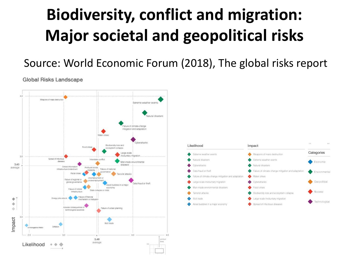#### **Biodiversity, conflict and migration: Major societal and geopolitical risks**

#### Source: World Economic Forum (2018), The global risks report

**Global Risks Landscape** 



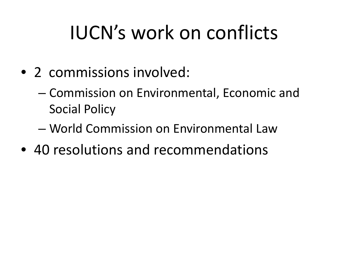# IUCN's work on conflicts

- 2 commissions involved:
	- Commission on Environmental, Economic and Social Policy
	- World Commission on Environmental Law
- 40 resolutions and recommendations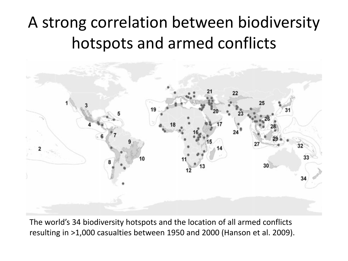#### A strong correlation between biodiversity hotspots and armed conflicts



The world's 34 biodiversity hotspots and the location of all armed conflicts resulting in >1,000 casualties between 1950 and 2000 (Hanson et al. 2009).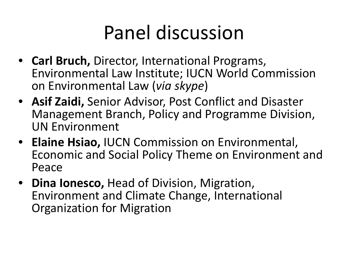## Panel discussion

- **Carl Bruch,** Director, International Programs, Environmental Law Institute; IUCN World Commission on Environmental Law (*via skype*)
- **Asif Zaidi,** Senior Advisor, Post Conflict and Disaster Management Branch, Policy and Programme Division, UN Environment
- **Elaine Hsiao,** IUCN Commission on Environmental, Economic and Social Policy Theme on Environment and Peace
- **Dina Ionesco,** Head of Division, Migration, Environment and Climate Change, International Organization for Migration